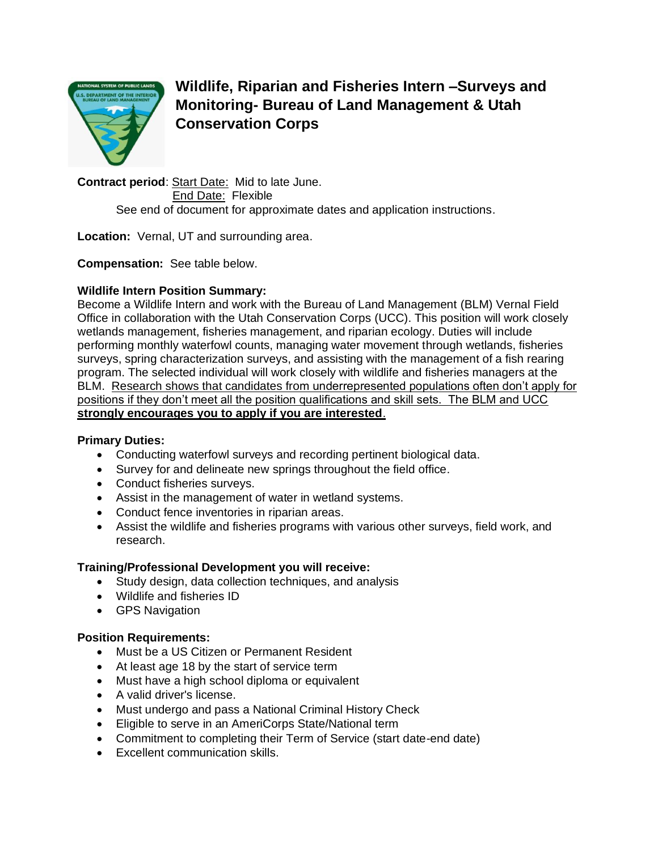

**Wildlife, Riparian and Fisheries Intern –Surveys and Monitoring- Bureau of Land Management & Utah Conservation Corps**

**Contract period**: Start Date: Mid to late June. End Date: Flexible See end of document for approximate dates and application instructions.

**Location:** Vernal, UT and surrounding area.

**Compensation:** See table below.

### **Wildlife Intern Position Summary:**

Become a Wildlife Intern and work with the Bureau of Land Management (BLM) Vernal Field Office in collaboration with the Utah Conservation Corps (UCC). This position will work closely wetlands management, fisheries management, and riparian ecology. Duties will include performing monthly waterfowl counts, managing water movement through wetlands, fisheries surveys, spring characterization surveys, and assisting with the management of a fish rearing program. The selected individual will work closely with wildlife and fisheries managers at the BLM. Research shows that candidates from underrepresented populations often don't apply for positions if they don't meet all the position qualifications and skill sets. The BLM and UCC **strongly encourages you to apply if you are interested**.

### **Primary Duties:**

- Conducting waterfowl surveys and recording pertinent biological data.
- Survey for and delineate new springs throughout the field office.
- Conduct fisheries surveys.
- Assist in the management of water in wetland systems.
- Conduct fence inventories in riparian areas.
- Assist the wildlife and fisheries programs with various other surveys, field work, and research.

# **Training/Professional Development you will receive:**

- Study design, data collection techniques, and analysis
- Wildlife and fisheries ID
- GPS Navigation

### **Position Requirements:**

- Must be a US Citizen or Permanent Resident
- At least age 18 by the start of service term
- Must have a high school diploma or equivalent
- A valid driver's license.
- Must undergo and pass a National Criminal History Check
- Eligible to serve in an AmeriCorps State/National term
- Commitment to completing their Term of Service (start date-end date)
- Excellent communication skills.